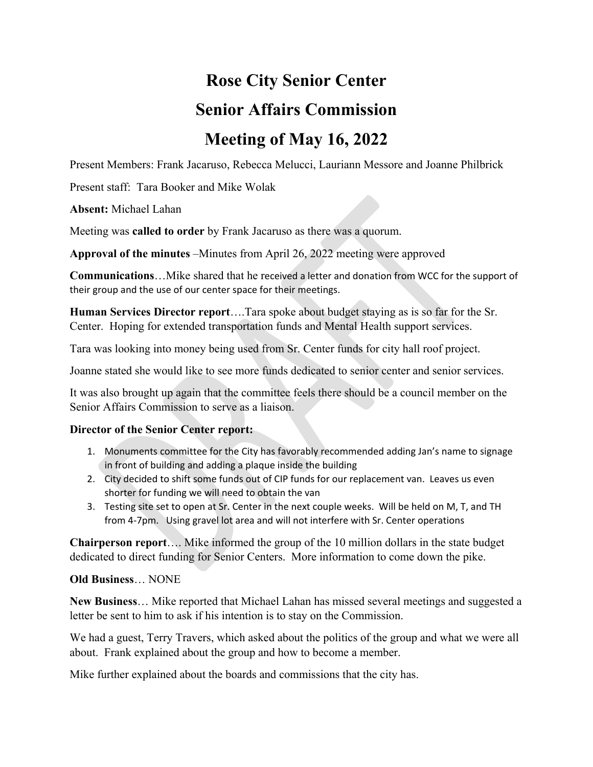## **Rose City Senior Center Senior Affairs Commission Meeting of May 16, 2022**

Present Members: Frank Jacaruso, Rebecca Melucci, Lauriann Messore and Joanne Philbrick

Present staff: Tara Booker and Mike Wolak

**Absent:** Michael Lahan

Meeting was **called to order** by Frank Jacaruso as there was a quorum.

**Approval of the minutes** –Minutes from April 26, 2022 meeting were approved

**Communications**…Mike shared that he received a letter and donation from WCC for the support of their group and the use of our center space for their meetings.

**Human Services Director report**….Tara spoke about budget staying as is so far for the Sr. Center. Hoping for extended transportation funds and Mental Health support services.

Tara was looking into money being used from Sr. Center funds for city hall roof project.

Joanne stated she would like to see more funds dedicated to senior center and senior services.

It was also brought up again that the committee feels there should be a council member on the Senior Affairs Commission to serve as a liaison.

## **Director of the Senior Center report:**

- 1. Monuments committee for the City has favorably recommended adding Jan's name to signage in front of building and adding a plaque inside the building
- 2. City decided to shift some funds out of CIP funds for our replacement van. Leaves us even shorter for funding we will need to obtain the van
- 3. Testing site set to open at Sr. Center in the next couple weeks. Will be held on M, T, and TH from 4‐7pm. Using gravel lot area and will not interfere with Sr. Center operations

**Chairperson report**…. Mike informed the group of the 10 million dollars in the state budget dedicated to direct funding for Senior Centers. More information to come down the pike.

## **Old Business**… NONE

**New Business**… Mike reported that Michael Lahan has missed several meetings and suggested a letter be sent to him to ask if his intention is to stay on the Commission.

We had a guest, Terry Travers, which asked about the politics of the group and what we were all about. Frank explained about the group and how to become a member.

Mike further explained about the boards and commissions that the city has.